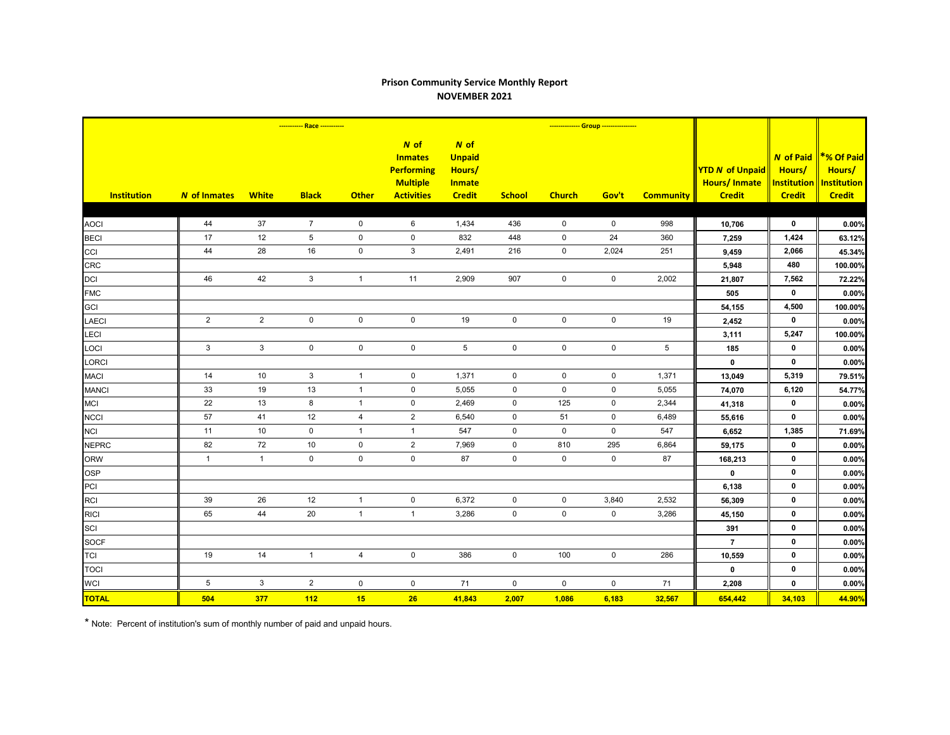## **Prison Community Service Monthly Report NOVEMBER 2021**

|                    | ----------- Race ----------- |                |                     |                         |                                                                                     |                                                                   |                     | -------------- Group ---------------- |             |                  |                                                                |                                                                   |                                                                    |
|--------------------|------------------------------|----------------|---------------------|-------------------------|-------------------------------------------------------------------------------------|-------------------------------------------------------------------|---------------------|---------------------------------------|-------------|------------------|----------------------------------------------------------------|-------------------------------------------------------------------|--------------------------------------------------------------------|
| <b>Institution</b> | <b>N</b> of Inmates          | <b>White</b>   | <b>Black</b>        | <b>Other</b>            | N of<br><b>Inmates</b><br><b>Performing</b><br><b>Multiple</b><br><b>Activities</b> | N of<br><b>Unpaid</b><br>Hours/<br><b>Inmate</b><br><b>Credit</b> | <b>School</b>       | <b>Church</b>                         | Gov't       | <b>Community</b> | <b>YTD N of Unpaid</b><br><b>Hours/Inmate</b><br><b>Credit</b> | <b>N</b> of Paid<br>Hours/<br><b>Institution</b><br><b>Credit</b> | <b>*% Of Paid</b><br>Hours/<br><b>Institution</b><br><b>Credit</b> |
|                    |                              |                |                     |                         |                                                                                     |                                                                   |                     |                                       |             |                  |                                                                |                                                                   |                                                                    |
| <b>AOCI</b>        | 44                           | 37             | $\overline{7}$      | $\mathbf 0$             | 6                                                                                   | 1,434                                                             | 436                 | $\mathsf{O}$                          | $\mathbf 0$ | 998              | 10,706                                                         | $\mathbf 0$                                                       | 0.00%                                                              |
| <b>BECI</b>        | 17                           | 12             | $5\,$               | $\pmb{0}$               | $\mathbf 0$                                                                         | 832                                                               | 448                 | $\mathbf 0$                           | 24          | 360              | 7,259                                                          | 1,424                                                             | 63.12%                                                             |
| CCI                | 44                           | 28             | 16                  | 0                       | 3                                                                                   | 2,491                                                             | 216                 | $\mathbf 0$                           | 2,024       | 251              | 9,459                                                          | 2,066                                                             | 45.34%                                                             |
| <b>CRC</b>         |                              |                |                     |                         |                                                                                     |                                                                   |                     |                                       |             |                  | 5,948                                                          | 480                                                               | 100.00%                                                            |
| DCI                | 46                           | 42             | 3 <sup>1</sup>      | $\mathbf{1}$            | 11                                                                                  | 2,909                                                             | 907                 | $\mathsf{O}\xspace$                   | $\mathbf 0$ | 2,002            | 21,807                                                         | 7,562                                                             | 72.22%                                                             |
| <b>FMC</b>         |                              |                |                     |                         |                                                                                     |                                                                   |                     |                                       |             |                  | 505                                                            | $\mathbf 0$                                                       | 0.00%                                                              |
| GCI                |                              |                |                     |                         |                                                                                     |                                                                   |                     |                                       |             |                  | 54,155                                                         | 4,500                                                             | 100.00%                                                            |
| <b>LAECI</b>       | $\overline{2}$               | $\overline{2}$ | $\mathsf{O}\xspace$ | $\pmb{0}$               | $\mathsf{O}\xspace$                                                                 | 19                                                                | $\mathsf{O}\xspace$ | $\mathsf{O}\xspace$                   | $\mathbf 0$ | 19               | 2,452                                                          | $\mathbf{0}$                                                      | 0.00%                                                              |
| LECI               |                              |                |                     |                         |                                                                                     |                                                                   |                     |                                       |             |                  | 3,111                                                          | 5,247                                                             | 100.00%                                                            |
| LOCI               | $\mathbf{3}$                 | $\mathbf{3}$   | $\mathsf{O}\xspace$ | $\pmb{0}$               | $\mathsf{O}\xspace$                                                                 | $\overline{5}$                                                    | $\mathsf 0$         | $\mathsf{O}\xspace$                   | $\mathsf 0$ | $5\phantom{.0}$  | 185                                                            | 0                                                                 | 0.00%                                                              |
| <b>LORCI</b>       |                              |                |                     |                         |                                                                                     |                                                                   |                     |                                       |             |                  | $\mathbf 0$                                                    | $\mathbf{0}$                                                      | 0.00%                                                              |
| <b>MACI</b>        | 14                           | 10             | 3                   | $\mathbf{1}$            | 0                                                                                   | 1,371                                                             | $\mathbf 0$         | $\mathsf{O}$                          | $\mathbf 0$ | 1,371            | 13,049                                                         | 5,319                                                             | 79.51%                                                             |
| <b>MANCI</b>       | 33                           | 19             | 13                  | $\mathbf{1}$            | $\mathbf 0$                                                                         | 5,055                                                             | $\mathbf 0$         | $\mathsf{O}$                          | $\mathbf 0$ | 5,055            | 74,070                                                         | 6,120                                                             | 54.77%                                                             |
| <b>MCI</b>         | 22                           | 13             | 8                   | $\mathbf{1}$            | $\mathsf 0$                                                                         | 2,469                                                             | $\mathbf 0$         | 125                                   | $\mathbf 0$ | 2,344            | 41,318                                                         | $\mathbf 0$                                                       | 0.00%                                                              |
| <b>NCCI</b>        | 57                           | 41             | 12                  | $\overline{4}$          | $\overline{2}$                                                                      | 6,540                                                             | $\mathbf 0$         | 51                                    | $\mathbf 0$ | 6,489            | 55,616                                                         | $\mathbf 0$                                                       | 0.00%                                                              |
| <b>NCI</b>         | 11                           | 10             | 0                   | $\mathbf{1}$            | $\mathbf{1}$                                                                        | 547                                                               | $\mathsf 0$         | $\mathsf{O}$                          | $\pmb{0}$   | 547              | 6,652                                                          | 1,385                                                             | 71.69%                                                             |
| <b>NEPRC</b>       | 82                           | 72             | 10                  | $\pmb{0}$               | $\sqrt{2}$                                                                          | 7,969                                                             | $\mathbf 0$         | 810                                   | 295         | 6,864            | 59,175                                                         | $\mathbf 0$                                                       | 0.00%                                                              |
| <b>ORW</b>         | $\mathbf{1}$                 | $\mathbf{1}$   | $\mathbf 0$         | $\mathsf{O}\xspace$     | $\mathsf{O}\xspace$                                                                 | 87                                                                | $\mathsf 0$         | $\mathbf 0$                           | $\mathbf 0$ | 87               | 168,213                                                        | $\mathbf 0$                                                       | 0.00%                                                              |
| <b>OSP</b>         |                              |                |                     |                         |                                                                                     |                                                                   |                     |                                       |             |                  | $\mathbf 0$                                                    | $\mathbf 0$                                                       | 0.00%                                                              |
| PCI                |                              |                |                     |                         |                                                                                     |                                                                   |                     |                                       |             |                  | 6,138                                                          | $\mathbf 0$                                                       | 0.00%                                                              |
| RCI                | 39                           | 26             | 12                  | $\mathbf{1}$            | 0                                                                                   | 6,372                                                             | $\mathbf 0$         | $\mathsf{O}$                          | 3,840       | 2,532            | 56,309                                                         | $\mathbf 0$                                                       | 0.00%                                                              |
| <b>RICI</b>        | 65                           | 44             | 20                  | $\mathbf{1}$            | $\overline{1}$                                                                      | 3,286                                                             | $\mathsf{O}\xspace$ | $\mathsf 0$                           | $\pmb{0}$   | 3,286            | 45,150                                                         | $\mathbf 0$                                                       | 0.00%                                                              |
| SCI                |                              |                |                     |                         |                                                                                     |                                                                   |                     |                                       |             |                  | 391                                                            | $\mathbf 0$                                                       | 0.00%                                                              |
| <b>SOCF</b>        |                              |                |                     |                         |                                                                                     |                                                                   |                     |                                       |             |                  | $\overline{7}$                                                 | $\mathbf 0$                                                       | 0.00%                                                              |
| <b>TCI</b>         | 19                           | 14             | $\mathbf{1}$        | $\overline{\mathbf{4}}$ | $\mathsf{O}\xspace$                                                                 | 386                                                               | $\mathsf 0$         | 100                                   | $\mathsf 0$ | 286              | 10,559                                                         | $\mathbf 0$                                                       | 0.00%                                                              |
| <b>TOCI</b>        |                              |                |                     |                         |                                                                                     |                                                                   |                     |                                       |             |                  | $\mathbf 0$                                                    | $\mathbf 0$                                                       | 0.00%                                                              |
| <b>WCI</b>         | $\sqrt{5}$                   | $\mathbf{3}$   | $\overline{2}$      | $\pmb{0}$               | $\mathbf 0$                                                                         | 71                                                                | $\mathsf 0$         | $\mathsf 0$                           | $\mathbf 0$ | 71               | 2,208                                                          | $\mathbf 0$                                                       | 0.00%                                                              |
| <b>TOTAL</b>       | 504                          | 377            | 112                 | 15                      | 26                                                                                  | 41,843                                                            | 2,007               | 1,086                                 | 6,183       | 32,567           | 654,442                                                        | 34,103                                                            | 44.90%                                                             |

\* Note: Percent of institution's sum of monthly number of paid and unpaid hours.